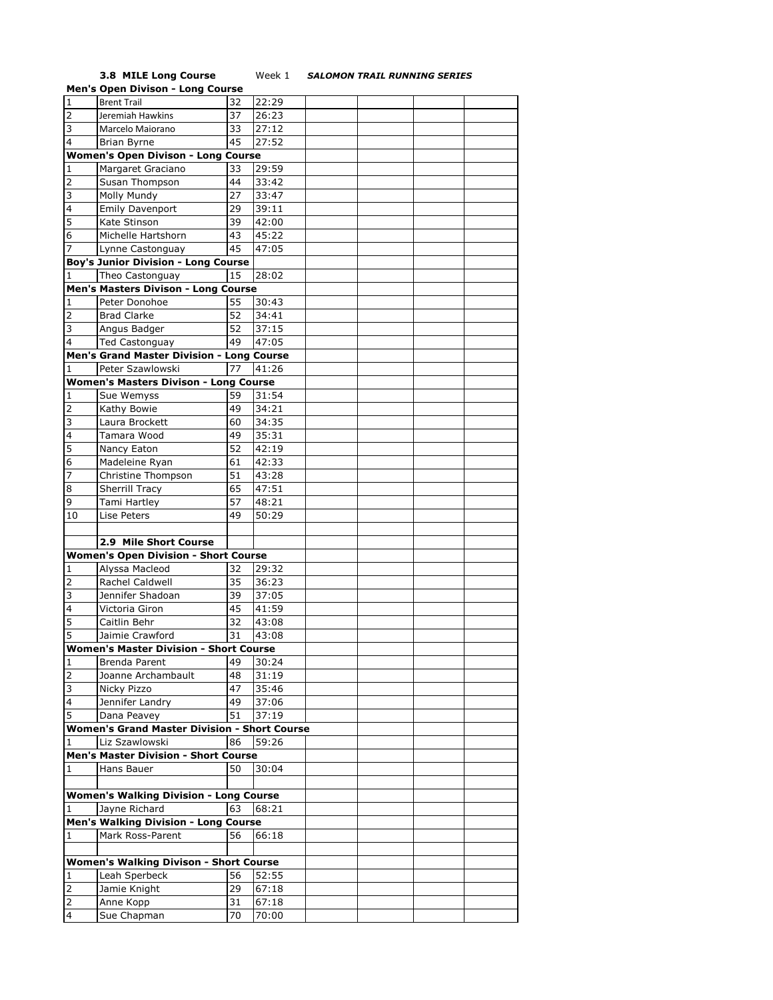## **3.8 MILE Long Course** Week 1 *SALOMON TRAIL RUNNING SERIES*

|                         | <b>Men's Open Divison - Long Course</b>             |    |       |  |  |
|-------------------------|-----------------------------------------------------|----|-------|--|--|
| 1                       | <b>Brent Trail</b>                                  | 32 | 22:29 |  |  |
| 2                       | Jeremiah Hawkins                                    | 37 | 26:23 |  |  |
| 3                       | Marcelo Maiorano                                    | 33 | 27:12 |  |  |
| 4                       | Brian Byrne                                         | 45 | 27:52 |  |  |
|                         | <b>Women's Open Divison - Long Course</b>           |    |       |  |  |
|                         | Margaret Graciano                                   | 33 | 29:59 |  |  |
| 1                       |                                                     |    |       |  |  |
| 2                       | Susan Thompson                                      | 44 | 33:42 |  |  |
| 3                       | <b>Molly Mundy</b>                                  | 27 | 33:47 |  |  |
| 4                       | <b>Emily Davenport</b>                              | 29 | 39:11 |  |  |
| 5                       | Kate Stinson                                        | 39 | 42:00 |  |  |
| 6                       | Michelle Hartshorn                                  | 43 | 45:22 |  |  |
| 7                       | Lynne Castonguay                                    | 45 | 47:05 |  |  |
|                         | <b>Boy's Junior Division - Long Course</b>          |    |       |  |  |
|                         | Theo Castonguay                                     |    |       |  |  |
|                         | Men's Masters Divison - Long Course                 |    |       |  |  |
| 1                       | Peter Donohoe                                       | 55 | 30:43 |  |  |
| $\overline{2}$          | <b>Brad Clarke</b>                                  | 52 | 34:41 |  |  |
| 3                       | Angus Badger                                        | 52 | 37:15 |  |  |
|                         |                                                     | 49 |       |  |  |
| 4                       | <b>Ted Castonguay</b>                               |    | 47:05 |  |  |
|                         | <b>Men's Grand Master Division - Long Course</b>    |    |       |  |  |
|                         | Peter Szawlowski                                    | 77 | 41:26 |  |  |
|                         | Women's Masters Divison - Long Course               |    |       |  |  |
|                         | Sue Wemyss                                          | 59 | 31:54 |  |  |
| 2                       | Kathy Bowie                                         | 49 | 34:21 |  |  |
| 3                       | Laura Brockett                                      | 60 | 34:35 |  |  |
| 4                       | Tamara Wood                                         | 49 | 35:31 |  |  |
| 5                       | Nancy Eaton                                         | 52 | 42:19 |  |  |
| 6                       | Madeleine Ryan                                      | 61 | 42:33 |  |  |
| 7                       | Christine Thompson                                  | 51 | 43:28 |  |  |
| 8                       | <b>Sherrill Tracy</b>                               | 65 | 47:51 |  |  |
| 9                       | Tami Hartley                                        | 57 | 48:21 |  |  |
| 10                      | Lise Peters                                         | 49 | 50:29 |  |  |
|                         |                                                     |    |       |  |  |
|                         | 2.9 Mile Short Course                               |    |       |  |  |
|                         | <b>Women's Open Division - Short Course</b>         |    |       |  |  |
|                         |                                                     |    |       |  |  |
|                         | Alyssa Macleod                                      | 32 | 29:32 |  |  |
| 2                       | <b>Rachel Caldwell</b>                              | 35 | 36:23 |  |  |
| 3                       | Jennifer Shadoan                                    | 39 | 37:05 |  |  |
| 4                       | Victoria Giron                                      | 45 | 41:59 |  |  |
| 5                       | Caitlin Behr                                        | 32 | 43:08 |  |  |
| 5                       | Jaimie Crawford                                     | 31 | 43:08 |  |  |
|                         | <b>Women's Master Division - Short Course</b>       |    |       |  |  |
| 1                       | <b>Brenda Parent</b>                                | 49 | 30:24 |  |  |
| 2                       | Joanne Archambault                                  | 48 | 31:19 |  |  |
| 3                       | Nicky Pizzo                                         | 47 | 35:46 |  |  |
| 4                       | Jennifer Landry                                     | 49 | 37:06 |  |  |
| 5                       | Dana Peavey                                         | 51 | 37:19 |  |  |
|                         | <b>Women's Grand Master Division - Short Course</b> |    |       |  |  |
|                         | Liz Szawlowski                                      | 86 | 59:26 |  |  |
|                         | <b>Men's Master Division - Short Course</b>         |    |       |  |  |
|                         | Hans Bauer                                          | 50 | 30:04 |  |  |
|                         |                                                     |    |       |  |  |
|                         |                                                     |    |       |  |  |
|                         | <b>Women's Walking Division - Long Course</b>       |    |       |  |  |
| 1                       | Jayne Richard                                       | 63 | 68:21 |  |  |
|                         | <b>Men's Walking Division - Long Course</b>         |    |       |  |  |
| 1                       | Mark Ross-Parent                                    | 56 | 66:18 |  |  |
|                         |                                                     |    |       |  |  |
|                         | <b>Women's Walking Divison - Short Course</b>       |    |       |  |  |
| 1                       | Leah Sperbeck                                       | 56 | 52:55 |  |  |
| 2                       | Jamie Knight                                        | 29 | 67:18 |  |  |
| 2                       | Anne Kopp                                           | 31 | 67:18 |  |  |
| $\overline{\mathbf{4}}$ | Sue Chapman                                         | 70 | 70:00 |  |  |
|                         |                                                     |    |       |  |  |